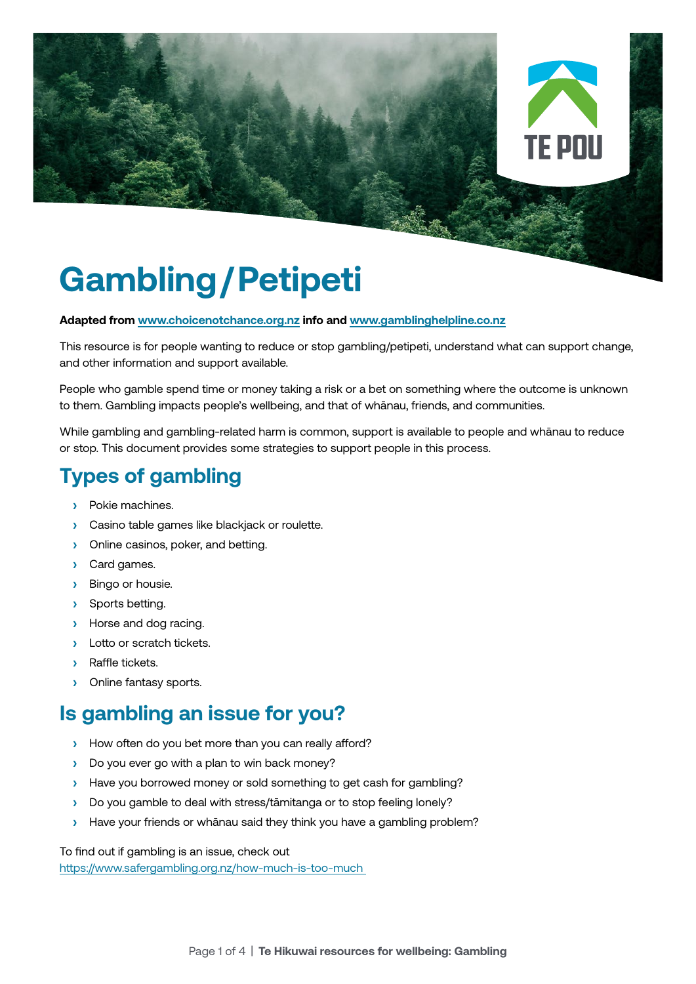

# **Gambling/Petipeti**

#### **Adapted from [www.choicenotchance.org.nz](http://www.choicenotchance.org.nz) info and [www.gamblinghelpline.co.nz](http://www.gamblinghelpline.co.nz)**

This resource is for people wanting to reduce or stop gambling/petipeti, understand what can support change, and other information and support available.

People who gamble spend time or money taking a risk or a bet on something where the outcome is unknown to them. Gambling impacts people's wellbeing, and that of whānau, friends, and communities.

While gambling and gambling-related harm is common, support is available to people and whānau to reduce or stop. This document provides some strategies to support people in this process.

# **Types of gambling**

- **›** Pokie machines.
- **›** Casino table games like blackjack or roulette.
- **›** Online casinos, poker, and betting.
- **›** Card games.
- **›** Bingo or housie.
- **›** Sports betting.
- **›** Horse and dog racing.
- **›** Lotto or scratch tickets.
- **›** Raffle tickets.
- **›** Online fantasy sports.

## **Is gambling an issue for you?**

- **›** How often do you bet more than you can really afford?
- **›** Do you ever go with a plan to win back money?
- **›** Have you borrowed money or sold something to get cash for gambling?
- **›** Do you gamble to deal with stress/tāmitanga or to stop feeling lonely?
- **›** Have your friends or whānau said they think you have a gambling problem?

To find out if gambling is an issue, check out

<https://www.safergambling.org.nz/how-much-is-too-much>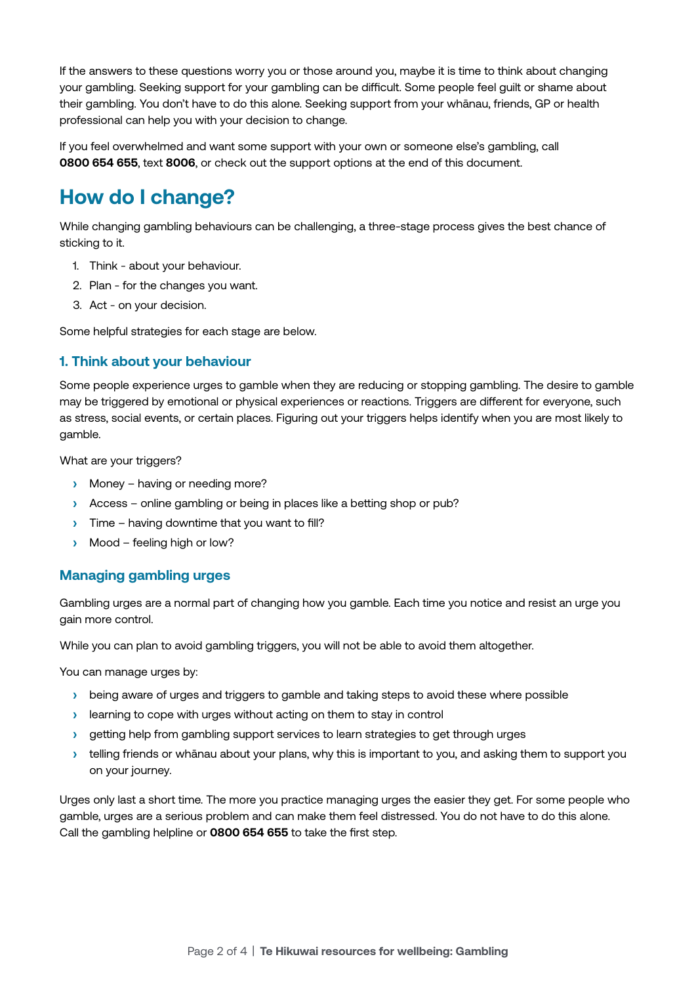If the answers to these questions worry you or those around you, maybe it is time to think about changing your gambling. Seeking support for your gambling can be difficult. Some people feel guilt or shame about their gambling. You don't have to do this alone. Seeking support from your whānau, friends, GP or health professional can help you with your decision to change.

If you feel overwhelmed and want some support with your own or someone else's gambling, call **0800 654 655**, text **8006**, or check out the support options at the end of this document.

# **How do I change?**

While changing gambling behaviours can be challenging, a three-stage process gives the best chance of sticking to it.

- 1. Think about your behaviour.
- 2. Plan for the changes you want.
- 3. Act on your decision.

Some helpful strategies for each stage are below.

## **1. Think about your behaviour**

Some people experience urges to gamble when they are reducing or stopping gambling. The desire to gamble may be triggered by emotional or physical experiences or reactions. Triggers are different for everyone, such as stress, social events, or certain places. Figuring out your triggers helps identify when you are most likely to gamble.

What are your triggers?

- **›** Money having or needing more?
- **›** Access online gambling or being in places like a betting shop or pub?
- **›** Time having downtime that you want to fill?
- **›** Mood feeling high or low?

#### **Managing gambling urges**

Gambling urges are a normal part of changing how you gamble. Each time you notice and resist an urge you gain more control.

While you can plan to avoid gambling triggers, you will not be able to avoid them altogether.

You can manage urges by:

- **›** being aware of urges and triggers to gamble and taking steps to avoid these where possible
- **›** learning to cope with urges without acting on them to stay in control
- **›** getting help from gambling support services to learn strategies to get through urges
- **›** telling friends or whānau about your plans, why this is important to you, and asking them to support you on your journey.

Urges only last a short time. The more you practice managing urges the easier they get. For some people who gamble, urges are a serious problem and can make them feel distressed. You do not have to do this alone. Call the gambling helpline or **0800 654 655** to take the first step.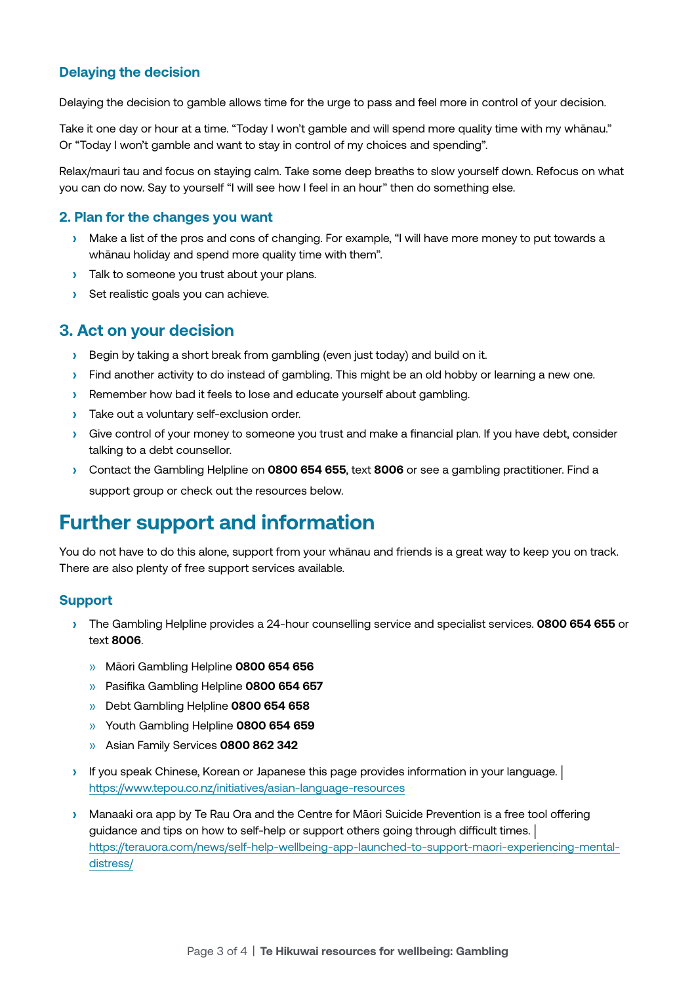## **Delaying the decision**

Delaying the decision to gamble allows time for the urge to pass and feel more in control of your decision.

Take it one day or hour at a time. "Today I won't gamble and will spend more quality time with my whānau." Or "Today I won't gamble and want to stay in control of my choices and spending".

Relax/mauri tau and focus on staying calm. Take some deep breaths to slow yourself down. Refocus on what you can do now. Say to yourself "I will see how I feel in an hour" then do something else.

#### **2. Plan for the changes you want**

- **›** Make a list of the pros and cons of changing. For example, "I will have more money to put towards a whānau holiday and spend more quality time with them".
- **›** Talk to someone you trust about your plans.
- **›** Set realistic goals you can achieve.

## **3. Act on your decision**

- **›** Begin by taking a short break from gambling (even just today) and build on it.
- **›** Find another activity to do instead of gambling. This might be an old hobby or learning a new one.
- **›** Remember how bad it feels to lose and educate yourself about gambling.
- **›** Take out a voluntary self-exclusion order.
- **›** Give control of your money to someone you trust and make a financial plan. If you have debt, consider talking to a debt counsellor.
- **›** Contact the Gambling Helpline on **0800 654 655**, text **8006** or see a gambling practitioner. Find a support group or check out the resources below.

## **Further support and information**

You do not have to do this alone, support from your whānau and friends is a great way to keep you on track. There are also plenty of free support services available.

#### **Support**

- **›** The Gambling Helpline provides a 24-hour counselling service and specialist services. **0800 654 655** or text **8006**.
	- » Māori Gambling Helpline **0800 654 656**
	- » Pasifika Gambling Helpline **0800 654 657**
	- » Debt Gambling Helpline **0800 654 658**
	- » Youth Gambling Helpline **0800 654 659**
	- » Asian Family Services **0800 862 342**
- **›** If you speak Chinese, Korean or Japanese this page provides information in your language. | <https://www.tepou.co.nz/initiatives/asian-language-resources>
- **›** Manaaki ora app by Te Rau Ora and the Centre for Māori Suicide Prevention is a free tool offering guidance and tips on how to self-help or support others going through difficult times. | [https://terauora.com/news/self-help-wellbeing-app-launched-to-support-maori-experiencing-mental](https://terauora.com/news/self-help-wellbeing-app-launched-to-support-maori-experiencing-mental-distress/)[distress/](https://terauora.com/news/self-help-wellbeing-app-launched-to-support-maori-experiencing-mental-distress/)